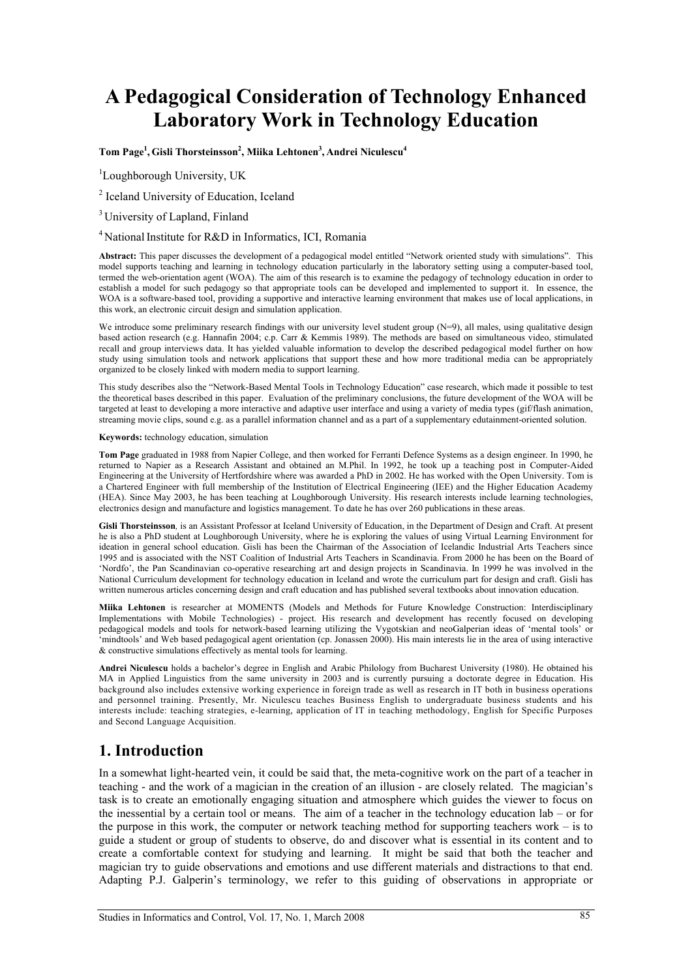# **A Pedagogical Consideration of Technology Enhanced Laboratory Work in Technology Education**

 $\boldsymbol{\mathrm{Tom\ Page^1},\text{Gisli\ Thorsteinsson^2,\,Miika\ Lethtonen^3,\,Andrei\ Niculescu^4}$ 

<sup>1</sup>Loughborough University, UK

<sup>2</sup> Iceland University of Education, Iceland

<sup>3</sup> University of Lapland, Finland

<sup>4</sup> National Institute for R&D in Informatics, ICI, Romania

**Abstract:** This paper discusses the development of a pedagogical model entitled "Network oriented study with simulations". This model supports teaching and learning in technology education particularly in the laboratory setting using a computer-based tool, termed the web-orientation agent (WOA). The aim of this research is to examine the pedagogy of technology education in order to establish a model for such pedagogy so that appropriate tools can be developed and implemented to support it. In essence, the WOA is a software-based tool, providing a supportive and interactive learning environment that makes use of local applications, in this work, an electronic circuit design and simulation application.

We introduce some preliminary research findings with our university level student group  $(N=9)$ , all males, using qualitative design based action research (e.g. Hannafin 2004; c.p. Carr & Kemmis 1989). The methods are based on simultaneous video, stimulated recall and group interviews data. It has yielded valuable information to develop the described pedagogical model further on how study using simulation tools and network applications that support these and how more traditional media can be appropriately organized to be closely linked with modern media to support learning.

This study describes also the "Network-Based Mental Tools in Technology Education" case research, which made it possible to test the theoretical bases described in this paper. Evaluation of the preliminary conclusions, the future development of the WOA will be targeted at least to developing a more interactive and adaptive user interface and using a variety of media types (gif/flash animation, streaming movie clips, sound e.g. as a parallel information channel and as a part of a supplementary edutainment-oriented solution.

#### **Keywords:** technology education, simulation

**Tom Page** graduated in 1988 from Napier College, and then worked for Ferranti Defence Systems as a design engineer. In 1990, he returned to Napier as a Research Assistant and obtained an M.Phil. In 1992, he took up a teaching post in Computer-Aided Engineering at the University of Hertfordshire where was awarded a PhD in 2002. He has worked with the Open University. Tom is a Chartered Engineer with full membership of the Institution of Electrical Engineering (IEE) and the Higher Education Academy (HEA). Since May 2003, he has been teaching at Loughborough University. His research interests include learning technologies, electronics design and manufacture and logistics management. To date he has over 260 publications in these areas.

**Gisli Thorsteinsson***,* is an Assistant Professor at Iceland University of Education, in the Department of Design and Craft. At present he is also a PhD student at Loughborough University, where he is exploring the values of using Virtual Learning Environment for ideation in general school education. Gisli has been the Chairman of the Association of Icelandic Industrial Arts Teachers since 1995 and is associated with the NST Coalition of Industrial Arts Teachers in Scandinavia. From 2000 he has been on the Board of 'Nordfo', the Pan Scandinavian co-operative researching art and design projects in Scandinavia. In 1999 he was involved in the National Curriculum development for technology education in Iceland and wrote the curriculum part for design and craft. Gisli has written numerous articles concerning design and craft education and has published several textbooks about innovation education.

**Miika Lehtonen** is researcher at MOMENTS (Models and Methods for Future Knowledge Construction: Interdisciplinary Implementations with Mobile Technologies) - project. His research and development has recently focused on developing pedagogical models and tools for network-based learning utilizing the Vygotskian and neoGalperian ideas of 'mental tools' or 'mindtools' and Web based pedagogical agent orientation (cp. Jonassen 2000). His main interests lie in the area of using interactive & constructive simulations effectively as mental tools for learning.

**Andrei Niculescu** holds a bachelor's degree in English and Arabic Philology from Bucharest University (1980). He obtained his MA in Applied Linguistics from the same university in 2003 and is currently pursuing a doctorate degree in Education. His background also includes extensive working experience in foreign trade as well as research in IT both in business operations and personnel training. Presently, Mr. Niculescu teaches Business English to undergraduate business students and his interests include: teaching strategies, e-learning, application of IT in teaching methodology, English for Specific Purposes and Second Language Acquisition.

### **1. Introduction**

In a somewhat light-hearted vein, it could be said that, the meta-cognitive work on the part of a teacher in teaching - and the work of a magician in the creation of an illusion - are closely related. The magician's task is to create an emotionally engaging situation and atmosphere which guides the viewer to focus on the inessential by a certain tool or means. The aim of a teacher in the technology education lab – or for the purpose in this work, the computer or network teaching method for supporting teachers work – is to guide a student or group of students to observe, do and discover what is essential in its content and to create a comfortable context for studying and learning. It might be said that both the teacher and magician try to guide observations and emotions and use different materials and distractions to that end. Adapting P.J. Galperin's terminology, we refer to this guiding of observations in appropriate or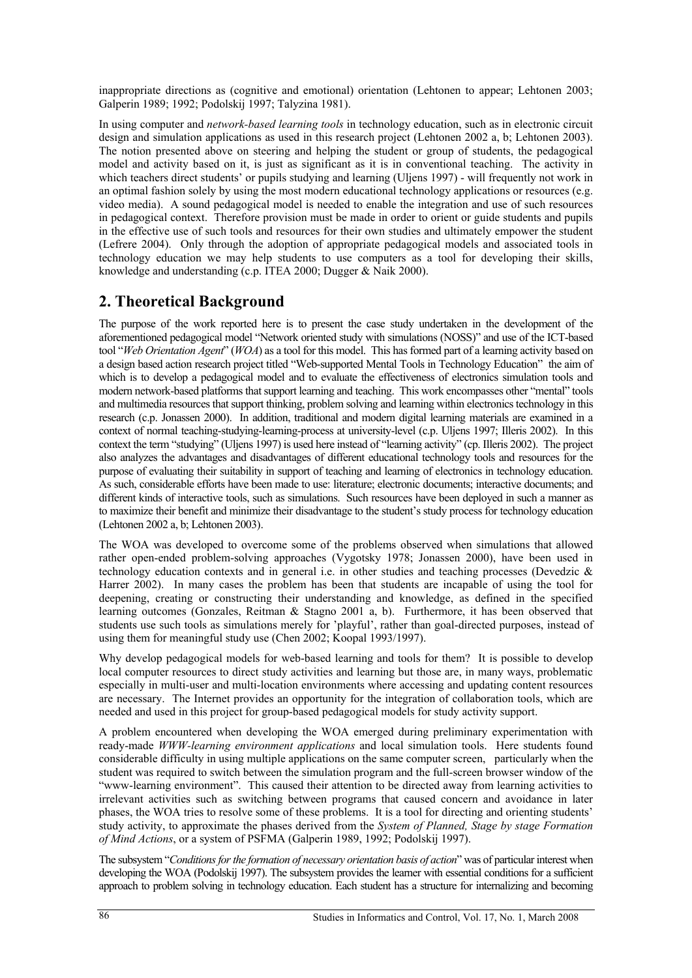inappropriate directions as (cognitive and emotional) orientation (Lehtonen to appear; Lehtonen 2003; Galperin 1989; 1992; Podolskij 1997; Talyzina 1981).

In using computer and *network-based learning tools* in technology education, such as in electronic circuit design and simulation applications as used in this research project (Lehtonen 2002 a, b; Lehtonen 2003). The notion presented above on steering and helping the student or group of students, the pedagogical model and activity based on it, is just as significant as it is in conventional teaching. The activity in which teachers direct students' or pupils studying and learning (Uljens 1997) - will frequently not work in an optimal fashion solely by using the most modern educational technology applications or resources (e.g. video media). A sound pedagogical model is needed to enable the integration and use of such resources in pedagogical context. Therefore provision must be made in order to orient or guide students and pupils in the effective use of such tools and resources for their own studies and ultimately empower the student (Lefrere 2004). Only through the adoption of appropriate pedagogical models and associated tools in technology education we may help students to use computers as a tool for developing their skills, knowledge and understanding (c.p. ITEA 2000; Dugger & Naik 2000).

# **2. Theoretical Background**

The purpose of the work reported here is to present the case study undertaken in the development of the aforementioned pedagogical model "Network oriented study with simulations (NOSS)" and use of the ICT-based tool "*Web Orientation Agent*" (*WOA*) as a tool for this model. This has formed part of a learning activity based on a design based action research project titled "Web-supported Mental Tools in Technology Education" the aim of which is to develop a pedagogical model and to evaluate the effectiveness of electronics simulation tools and modern network-based platforms that support learning and teaching. This work encompasses other "mental" tools and multimedia resources that support thinking, problem solving and learning within electronics technology in this research (c.p. Jonassen 2000). In addition, traditional and modern digital learning materials are examined in a context of normal teaching-studying-learning-process at university-level (c.p. Uljens 1997; Illeris 2002). In this context the term "studying" (Uljens 1997) is used here instead of "learning activity" (cp. Illeris 2002). The project also analyzes the advantages and disadvantages of different educational technology tools and resources for the purpose of evaluating their suitability in support of teaching and learning of electronics in technology education. As such, considerable efforts have been made to use: literature; electronic documents; interactive documents; and different kinds of interactive tools, such as simulations. Such resources have been deployed in such a manner as to maximize their benefit and minimize their disadvantage to the student's study process for technology education (Lehtonen 2002 a, b; Lehtonen 2003).

The WOA was developed to overcome some of the problems observed when simulations that allowed rather open-ended problem-solving approaches (Vygotsky 1978; Jonassen 2000), have been used in technology education contexts and in general i.e. in other studies and teaching processes (Devedzic & Harrer 2002). In many cases the problem has been that students are incapable of using the tool for deepening, creating or constructing their understanding and knowledge, as defined in the specified learning outcomes (Gonzales, Reitman & Stagno 2001 a, b). Furthermore, it has been observed that students use such tools as simulations merely for 'playful', rather than goal-directed purposes, instead of using them for meaningful study use (Chen 2002; Koopal 1993/1997).

Why develop pedagogical models for web-based learning and tools for them? It is possible to develop local computer resources to direct study activities and learning but those are, in many ways, problematic especially in multi-user and multi-location environments where accessing and updating content resources are necessary. The Internet provides an opportunity for the integration of collaboration tools, which are needed and used in this project for group-based pedagogical models for study activity support.

A problem encountered when developing the WOA emerged during preliminary experimentation with ready-made *WWW-learning environment applications* and local simulation tools. Here students found considerable difficulty in using multiple applications on the same computer screen, particularly when the student was required to switch between the simulation program and the full-screen browser window of the "www-learning environment". This caused their attention to be directed away from learning activities to irrelevant activities such as switching between programs that caused concern and avoidance in later phases, the WOA tries to resolve some of these problems. It is a tool for directing and orienting students' study activity, to approximate the phases derived from the *System of Planned, Stage by stage Formation of Mind Actions*, or a system of PSFMA (Galperin 1989, 1992; Podolskij 1997).

The subsystem "*Conditions for the formation of necessary orientation basis of action*" was of particular interest when developing the WOA (Podolskij 1997). The subsystem provides the learner with essential conditions for a sufficient approach to problem solving in technology education. Each student has a structure for internalizing and becoming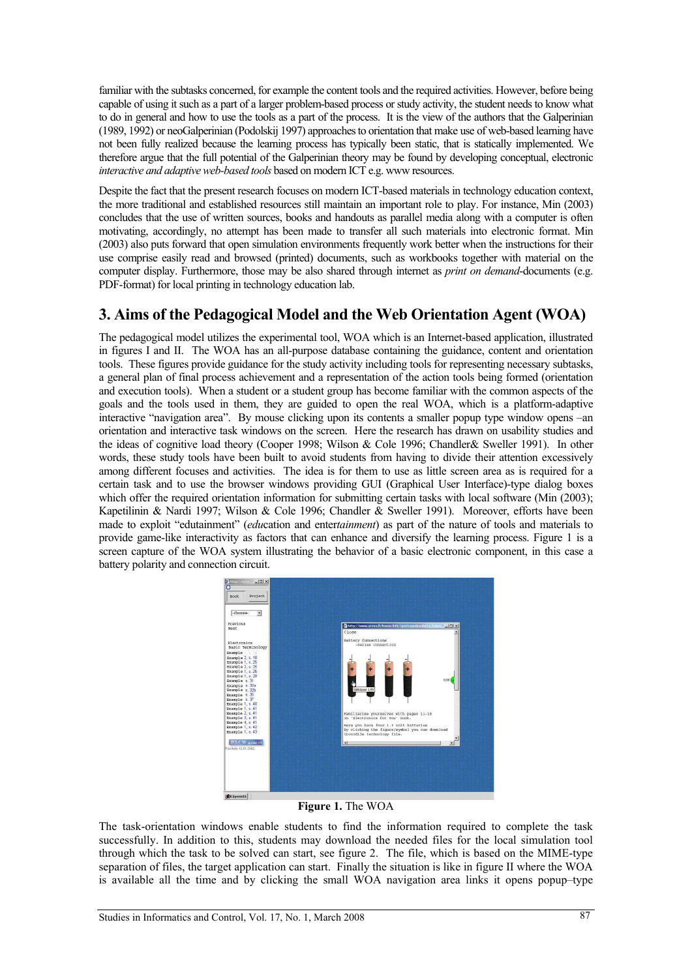familiar with the subtasks concerned, for example the content tools and the required activities. However, before being capable of using it such as a part of a larger problem-based process or study activity, the student needs to know what to do in general and how to use the tools as a part of the process. It is the view of the authors that the Galperinian (1989, 1992) or neoGalperinian (Podolskij 1997) approaches to orientation that make use of web-based learning have not been fully realized because the learning process has typically been static, that is statically implemented. We therefore argue that the full potential of the Galperinian theory may be found by developing conceptual, electronic *interactive and adaptive web-based tools* based on modern ICT e.g. www resources.

Despite the fact that the present research focuses on modern ICT-based materials in technology education context, the more traditional and established resources still maintain an important role to play. For instance, Min (2003) concludes that the use of written sources, books and handouts as parallel media along with a computer is often motivating, accordingly, no attempt has been made to transfer all such materials into electronic format. Min (2003) also puts forward that open simulation environments frequently work better when the instructions for their use comprise easily read and browsed (printed) documents, such as workbooks together with material on the computer display. Furthermore, those may be also shared through internet as *print on demand*-documents (e.g. PDF-format) for local printing in technology education lab.

## **3. Aims of the Pedagogical Model and the Web Orientation Agent (WOA)**

The pedagogical model utilizes the experimental tool, WOA which is an Internet-based application, illustrated in figures I and II. The WOA has an all-purpose database containing the guidance, content and orientation tools. These figures provide guidance for the study activity including tools for representing necessary subtasks, a general plan of final process achievement and a representation of the action tools being formed (orientation and execution tools). When a student or a student group has become familiar with the common aspects of the goals and the tools used in them, they are guided to open the real WOA, which is a platform-adaptive interactive "navigation area". By mouse clicking upon its contents a smaller popup type window opens –an orientation and interactive task windows on the screen. Here the research has drawn on usability studies and the ideas of cognitive load theory (Cooper 1998; Wilson & Cole 1996; Chandler& Sweller 1991). In other words, these study tools have been built to avoid students from having to divide their attention excessively among different focuses and activities. The idea is for them to use as little screen area as is required for a certain task and to use the browser windows providing GUI (Graphical User Interface)-type dialog boxes which offer the required orientation information for submitting certain tasks with local software (Min (2003); Kapetilinin & Nardi 1997; Wilson & Cole 1996; Chandler & Sweller 1991). Moreover, efforts have been made to exploit "edutainment" (*edu*cation and enter*tainment*) as part of the nature of tools and materials to provide game-like interactivity as factors that can enhance and diversify the learning process. Figure 1 is a screen capture of the WOA system illustrating the behavior of a basic electronic component, in this case a battery polarity and connection circuit.



#### **Figure 1.** The WOA

The task-orientation windows enable students to find the information required to complete the task successfully. In addition to this, students may download the needed files for the local simulation tool through which the task to be solved can start, see figure 2. The file, which is based on the MIME-type separation of files, the target application can start. Finally the situation is like in figure II where the WOA is available all the time and by clicking the small WOA navigation area links it opens popup–type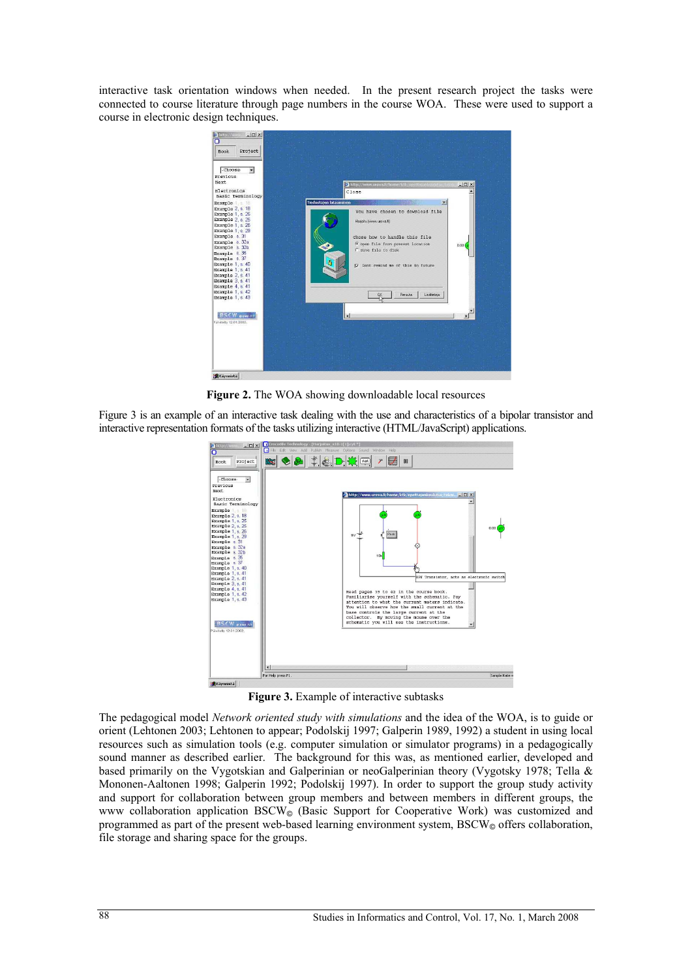interactive task orientation windows when needed. In the present research project the tasks were connected to course literature through page numbers in the course WOA. These were used to support a course in electronic design techniques.



Figure 2. The WOA showing downloadable local resources

Figure 3 is an example of an interactive task dealing with the use and characteristics of a bipolar transistor and interactive representation formats of the tasks utilizing interactive (HTML/JavaScript) applications.



Figure 3. Example of interactive subtasks

The pedagogical model *Network oriented study with simulations* and the idea of the WOA, is to guide or orient (Lehtonen 2003; Lehtonen to appear; Podolskij 1997; Galperin 1989, 1992) a student in using local resources such as simulation tools (e.g. computer simulation or simulator programs) in a pedagogically sound manner as described earlier. The background for this was, as mentioned earlier, developed and based primarily on the Vygotskian and Galperinian or neoGalperinian theory (Vygotsky 1978; Tella & Mononen-Aaltonen 1998; Galperin 1992; Podolskij 1997). In order to support the group study activity and support for collaboration between group members and between members in different groups, the www collaboration application BSCW<sub> $\odot$ </sub> (Basic Support for Cooperative Work) was customized and programmed as part of the present web-based learning environment system,  $BSCW_{\odot}$  offers collaboration, file storage and sharing space for the groups.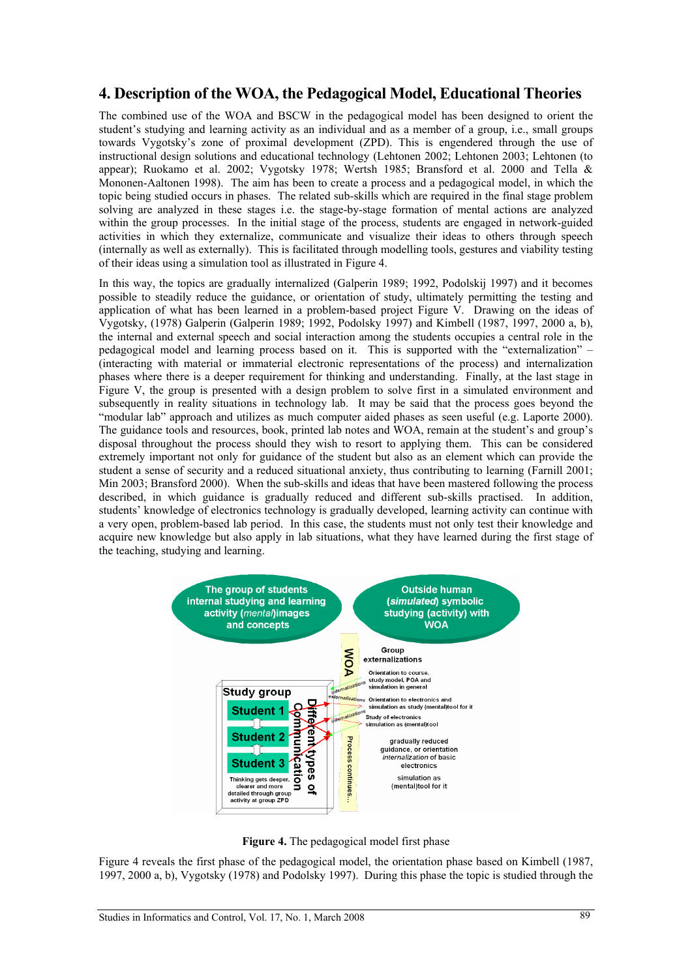### **4. Description of the WOA, the Pedagogical Model, Educational Theories**

The combined use of the WOA and BSCW in the pedagogical model has been designed to orient the student's studying and learning activity as an individual and as a member of a group, i.e., small groups towards Vygotsky's zone of proximal development (ZPD). This is engendered through the use of instructional design solutions and educational technology (Lehtonen 2002; Lehtonen 2003; Lehtonen (to appear); Ruokamo et al. 2002; Vygotsky 1978; Wertsh 1985; Bransford et al. 2000 and Tella & Mononen-Aaltonen 1998). The aim has been to create a process and a pedagogical model, in which the topic being studied occurs in phases. The related sub-skills which are required in the final stage problem solving are analyzed in these stages i.e. the stage-by-stage formation of mental actions are analyzed within the group processes. In the initial stage of the process, students are engaged in network-guided activities in which they externalize, communicate and visualize their ideas to others through speech (internally as well as externally). This is facilitated through modelling tools, gestures and viability testing of their ideas using a simulation tool as illustrated in Figure 4.

In this way, the topics are gradually internalized (Galperin 1989; 1992, Podolskij 1997) and it becomes possible to steadily reduce the guidance, or orientation of study, ultimately permitting the testing and application of what has been learned in a problem-based project Figure V. Drawing on the ideas of Vygotsky, (1978) Galperin (Galperin 1989; 1992, Podolsky 1997) and Kimbell (1987, 1997, 2000 a, b), the internal and external speech and social interaction among the students occupies a central role in the pedagogical model and learning process based on it. This is supported with the "externalization" – (interacting with material or immaterial electronic representations of the process) and internalization phases where there is a deeper requirement for thinking and understanding. Finally, at the last stage in Figure V, the group is presented with a design problem to solve first in a simulated environment and subsequently in reality situations in technology lab. It may be said that the process goes beyond the "modular lab" approach and utilizes as much computer aided phases as seen useful (e.g. Laporte 2000). The guidance tools and resources, book, printed lab notes and WOA, remain at the student's and group's disposal throughout the process should they wish to resort to applying them. This can be considered extremely important not only for guidance of the student but also as an element which can provide the student a sense of security and a reduced situational anxiety, thus contributing to learning (Farnill 2001; Min 2003; Bransford 2000). When the sub-skills and ideas that have been mastered following the process described, in which guidance is gradually reduced and different sub-skills practised. In addition, students' knowledge of electronics technology is gradually developed, learning activity can continue with a very open, problem-based lab period. In this case, the students must not only test their knowledge and acquire new knowledge but also apply in lab situations, what they have learned during the first stage of the teaching, studying and learning.



**Figure 4.** The pedagogical model first phase

Figure 4 reveals the first phase of the pedagogical model, the orientation phase based on Kimbell (1987, 1997, 2000 a, b), Vygotsky (1978) and Podolsky 1997). During this phase the topic is studied through the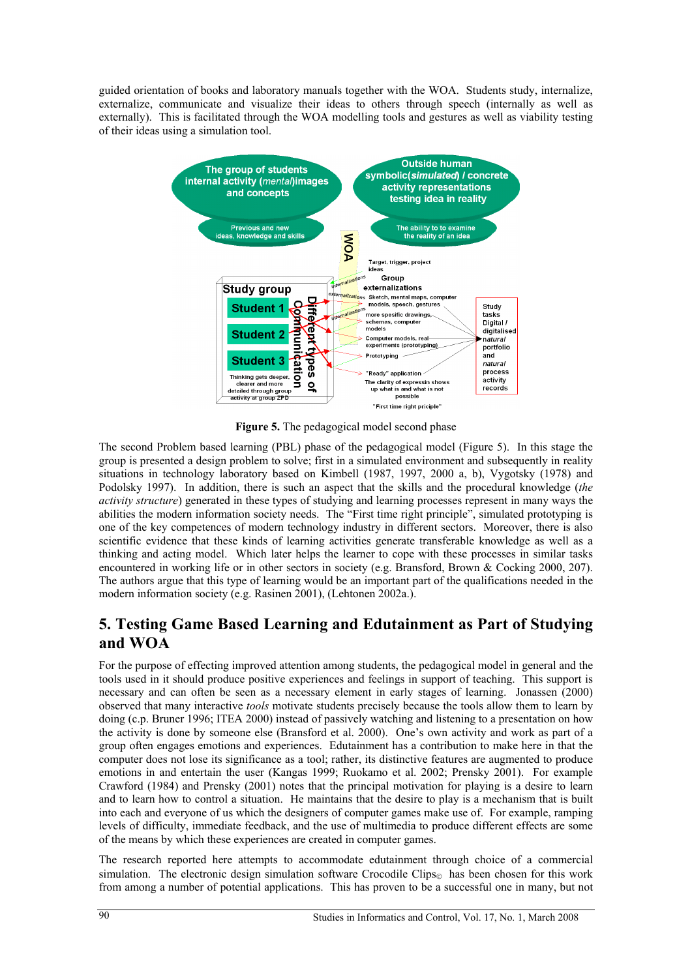guided orientation of books and laboratory manuals together with the WOA. Students study, internalize, externalize, communicate and visualize their ideas to others through speech (internally as well as externally). This is facilitated through the WOA modelling tools and gestures as well as viability testing of their ideas using a simulation tool.



**Figure 5.** The pedagogical model second phase

The second Problem based learning (PBL) phase of the pedagogical model (Figure 5). In this stage the group is presented a design problem to solve; first in a simulated environment and subsequently in reality situations in technology laboratory based on Kimbell (1987, 1997, 2000 a, b), Vygotsky (1978) and Podolsky 1997). In addition, there is such an aspect that the skills and the procedural knowledge (*the activity structure*) generated in these types of studying and learning processes represent in many ways the abilities the modern information society needs. The "First time right principle", simulated prototyping is one of the key competences of modern technology industry in different sectors. Moreover, there is also scientific evidence that these kinds of learning activities generate transferable knowledge as well as a thinking and acting model. Which later helps the learner to cope with these processes in similar tasks encountered in working life or in other sectors in society (e.g. Bransford, Brown & Cocking 2000, 207). The authors argue that this type of learning would be an important part of the qualifications needed in the modern information society (e.g. Rasinen 2001), (Lehtonen 2002a.).

# **5. Testing Game Based Learning and Edutainment as Part of Studying and WOA**

For the purpose of effecting improved attention among students, the pedagogical model in general and the tools used in it should produce positive experiences and feelings in support of teaching. This support is necessary and can often be seen as a necessary element in early stages of learning. Jonassen (2000) observed that many interactive *tools* motivate students precisely because the tools allow them to learn by doing (c.p. Bruner 1996; ITEA 2000) instead of passively watching and listening to a presentation on how the activity is done by someone else (Bransford et al. 2000). One's own activity and work as part of a group often engages emotions and experiences. Edutainment has a contribution to make here in that the computer does not lose its significance as a tool; rather, its distinctive features are augmented to produce emotions in and entertain the user (Kangas 1999; Ruokamo et al. 2002; Prensky 2001). For example Crawford (1984) and Prensky (2001) notes that the principal motivation for playing is a desire to learn and to learn how to control a situation. He maintains that the desire to play is a mechanism that is built into each and everyone of us which the designers of computer games make use of. For example, ramping levels of difficulty, immediate feedback, and the use of multimedia to produce different effects are some of the means by which these experiences are created in computer games.

The research reported here attempts to accommodate edutainment through choice of a commercial simulation. The electronic design simulation software Crocodile Clips $_{\odot}$  has been chosen for this work from among a number of potential applications. This has proven to be a successful one in many, but not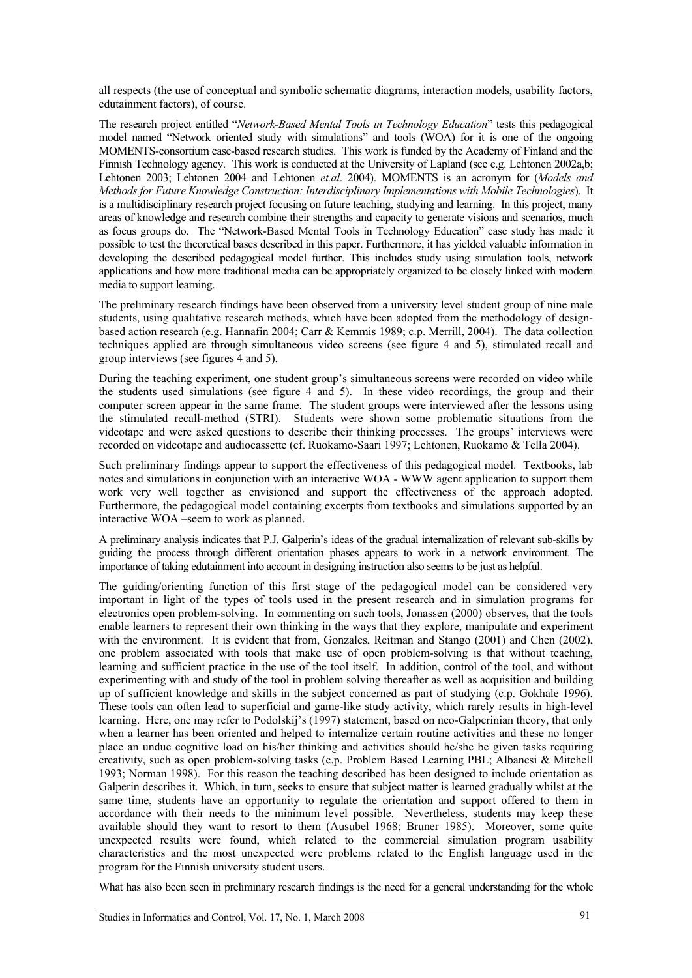all respects (the use of conceptual and symbolic schematic diagrams, interaction models, usability factors, edutainment factors), of course.

The research project entitled "*Network-Based Mental Tools in Technology Education*" tests this pedagogical model named "Network oriented study with simulations" and tools (WOA) for it is one of the ongoing MOMENTS-consortium case-based research studies. This work is funded by the Academy of Finland and the Finnish Technology agency. This work is conducted at the University of Lapland (see e.g. Lehtonen 2002a,b; Lehtonen 2003; Lehtonen 2004 and Lehtonen *et.al*. 2004). MOMENTS is an acronym for (*Models and Methods for Future Knowledge Construction: Interdisciplinary Implementations with Mobile Technologies*). It is a multidisciplinary research project focusing on future teaching, studying and learning. In this project, many areas of knowledge and research combine their strengths and capacity to generate visions and scenarios, much as focus groups do. The "Network-Based Mental Tools in Technology Education" case study has made it possible to test the theoretical bases described in this paper. Furthermore, it has yielded valuable information in developing the described pedagogical model further. This includes study using simulation tools, network applications and how more traditional media can be appropriately organized to be closely linked with modern media to support learning.

The preliminary research findings have been observed from a university level student group of nine male students, using qualitative research methods, which have been adopted from the methodology of designbased action research (e.g. Hannafin 2004; Carr & Kemmis 1989; c.p. Merrill, 2004). The data collection techniques applied are through simultaneous video screens (see figure 4 and 5), stimulated recall and group interviews (see figures 4 and 5).

During the teaching experiment, one student group's simultaneous screens were recorded on video while the students used simulations (see figure 4 and 5). In these video recordings, the group and their computer screen appear in the same frame. The student groups were interviewed after the lessons using the stimulated recall-method (STRI). Students were shown some problematic situations from the videotape and were asked questions to describe their thinking processes. The groups' interviews were recorded on videotape and audiocassette (cf. Ruokamo-Saari 1997; Lehtonen, Ruokamo & Tella 2004).

Such preliminary findings appear to support the effectiveness of this pedagogical model. Textbooks, lab notes and simulations in conjunction with an interactive WOA - WWW agent application to support them work very well together as envisioned and support the effectiveness of the approach adopted. Furthermore, the pedagogical model containing excerpts from textbooks and simulations supported by an interactive WOA –seem to work as planned.

A preliminary analysis indicates that P.J. Galperin's ideas of the gradual internalization of relevant sub-skills by guiding the process through different orientation phases appears to work in a network environment. The importance of taking edutainment into account in designing instruction also seems to be just as helpful.

The guiding/orienting function of this first stage of the pedagogical model can be considered very important in light of the types of tools used in the present research and in simulation programs for electronics open problem-solving. In commenting on such tools, Jonassen (2000) observes, that the tools enable learners to represent their own thinking in the ways that they explore, manipulate and experiment with the environment. It is evident that from, Gonzales, Reitman and Stango (2001) and Chen (2002), one problem associated with tools that make use of open problem-solving is that without teaching, learning and sufficient practice in the use of the tool itself. In addition, control of the tool, and without experimenting with and study of the tool in problem solving thereafter as well as acquisition and building up of sufficient knowledge and skills in the subject concerned as part of studying (c.p. Gokhale 1996). These tools can often lead to superficial and game-like study activity, which rarely results in high-level learning. Here, one may refer to Podolskij's (1997) statement, based on neo-Galperinian theory, that only when a learner has been oriented and helped to internalize certain routine activities and these no longer place an undue cognitive load on his/her thinking and activities should he/she be given tasks requiring creativity, such as open problem-solving tasks (c.p. Problem Based Learning PBL; Albanesi & Mitchell 1993; Norman 1998). For this reason the teaching described has been designed to include orientation as Galperin describes it. Which, in turn, seeks to ensure that subject matter is learned gradually whilst at the same time, students have an opportunity to regulate the orientation and support offered to them in accordance with their needs to the minimum level possible. Nevertheless, students may keep these available should they want to resort to them (Ausubel 1968; Bruner 1985). Moreover, some quite unexpected results were found, which related to the commercial simulation program usability characteristics and the most unexpected were problems related to the English language used in the program for the Finnish university student users.

What has also been seen in preliminary research findings is the need for a general understanding for the whole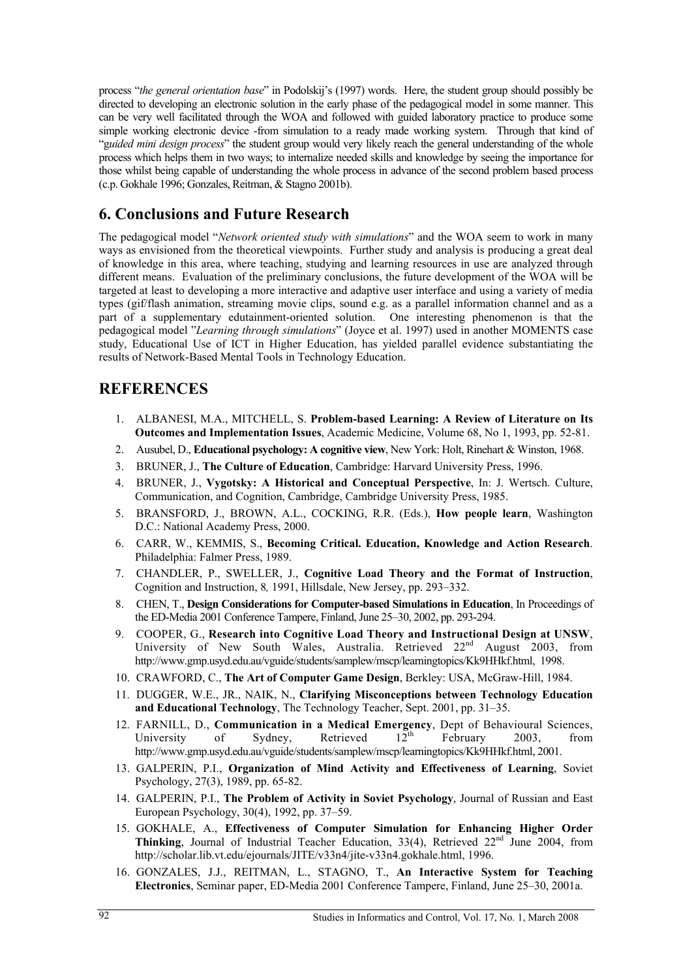process "*the general orientation base*" in Podolskij's (1997) words. Here, the student group should possibly be directed to developing an electronic solution in the early phase of the pedagogical model in some manner. This can be very well facilitated through the WOA and followed with guided laboratory practice to produce some simple working electronic device -from simulation to a ready made working system. Through that kind of "g*uided mini design process*" the student group would very likely reach the general understanding of the whole process which helps them in two ways; to internalize needed skills and knowledge by seeing the importance for those whilst being capable of understanding the whole process in advance of the second problem based process (c.p. Gokhale 1996; Gonzales, Reitman, & Stagno 2001b).

# **6. Conclusions and Future Research**

The pedagogical model "*Network oriented study with simulations*" and the WOA seem to work in many ways as envisioned from the theoretical viewpoints. Further study and analysis is producing a great deal of knowledge in this area, where teaching, studying and learning resources in use are analyzed through different means. Evaluation of the preliminary conclusions, the future development of the WOA will be targeted at least to developing a more interactive and adaptive user interface and using a variety of media types (gif/flash animation, streaming movie clips, sound e.g. as a parallel information channel and as a part of a supplementary edutainment-oriented solution. One interesting phenomenon is that the pedagogical model "*Learning through simulations*" (Joyce et al. 1997) used in another MOMENTS case study, Educational Use of ICT in Higher Education, has yielded parallel evidence substantiating the results of Network-Based Mental Tools in Technology Education.

### **REFERENCES**

- 1. ALBANESI, M.A., MITCHELL, S. **Problem-based Learning: A Review of Literature on Its Outcomes and Implementation Issues**, Academic Medicine, Volume 68, No 1, 1993, pp. 52-81.
- 2. Ausubel, D., **Educational psychology: A cognitive view**, New York: Holt, Rinehart & Winston, 1968.
- 3. BRUNER, J., **The Culture of Education**, Cambridge: Harvard University Press, 1996.
- 4. BRUNER, J., **Vygotsky: A Historical and Conceptual Perspective**, In: J. Wertsch. Culture, Communication, and Cognition, Cambridge, Cambridge University Press, 1985.
- 5. BRANSFORD, J., BROWN, A.L., COCKING, R.R. (Eds.), **How people learn**, Washington D.C.: National Academy Press, 2000.
- 6. CARR, W., KEMMIS, S., **Becoming Critical. Education, Knowledge and Action Research**. Philadelphia: Falmer Press, 1989.
- 7. CHANDLER, P., SWELLER, J., **Cognitive Load Theory and the Format of Instruction**, Cognition and Instruction, 8*,* 1991, Hillsdale, New Jersey, pp. 293–332.
- 8. CHEN, T., **Design Considerations for Computer-based Simulations in Education**, In Proceedings of the ED-Media 2001 Conference Tampere, Finland, June 25–30, 2002, pp. 293-294.
- 9. COOPER, G., **Research into Cognitive Load Theory and Instructional Design at UNSW**, University of New South Wales, Australia. Retrieved  $22<sup>nd</sup>$  August 2003, from http://www.gmp.usyd.edu.au/vguide/students/samplew/mscp/learningtopics/Kk9HHkf.html, 1998.
- 10. CRAWFORD, C., **The Art of Computer Game Design**, Berkley: USA, McGraw-Hill, 1984.
- 11. DUGGER, W.E., JR., NAIK, N., **Clarifying Misconceptions between Technology Education and Educational Technology**, The Technology Teacher, Sept. 2001, pp. 31–35.
- 12. FARNILL, D., **Communication in a Medical Emergency**, Dept of Behavioural Sciences, University of Sydney, Retrieved  $12^{th}$  February 2003, from http://www.gmp.usyd.edu.au/vguide/students/samplew/mscp/learningtopics/Kk9HHkf.html, 2001.
- 13. GALPERIN, P.I., **Organization of Mind Activity and Effectiveness of Learning**, Soviet Psychology, 27(3), 1989, pp. 65-82.
- 14. GALPERIN, P.I., **The Problem of Activity in Soviet Psychology**, Journal of Russian and East European Psychology, 30(4), 1992, pp. 37–59.
- 15. GOKHALE, A., **Effectiveness of Computer Simulation for Enhancing Higher Order Thinking**, Journal of Industrial Teacher Education,  $33(4)$ , Retrieved  $22<sup>nd</sup>$  June 2004, from http://scholar.lib.vt.edu/ejournals/JITE/v33n4/jite-v33n4.gokhale.html, 1996.
- 16. GONZALES, J.J., REITMAN, L., STAGNO, T., **An Interactive System for Teaching Electronics**, Seminar paper, ED-Media 2001 Conference Tampere, Finland, June 25–30, 2001a.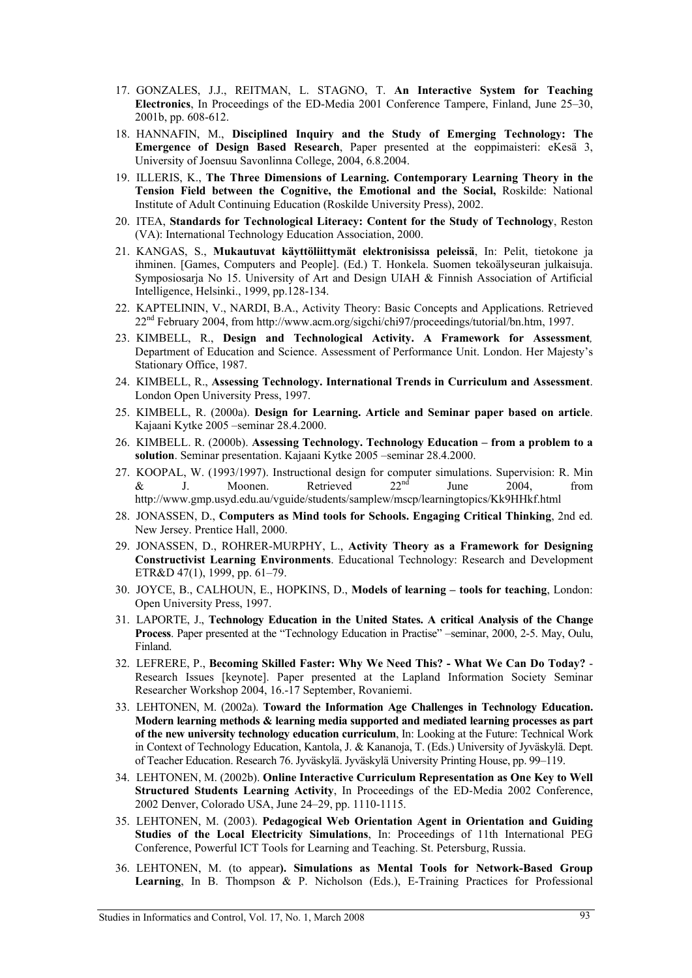- 17. GONZALES, J.J., REITMAN, L. STAGNO, T. **An Interactive System for Teaching Electronics**, In Proceedings of the ED-Media 2001 Conference Tampere, Finland, June 25–30, 2001b, pp. 608-612.
- 18. HANNAFIN, M., **Disciplined Inquiry and the Study of Emerging Technology: The Emergence of Design Based Research**, Paper presented at the eoppimaisteri: eKesä 3, University of Joensuu Savonlinna College, 2004, 6.8.2004.
- 19. ILLERIS, K., **The Three Dimensions of Learning. Contemporary Learning Theory in the Tension Field between the Cognitive, the Emotional and the Social,** Roskilde: National Institute of Adult Continuing Education (Roskilde University Press), 2002.
- 20. ITEA, **Standards for Technological Literacy: Content for the Study of Technology**, Reston (VA): International Technology Education Association, 2000.
- 21. KANGAS, S., **Mukautuvat käyttöliittymät elektronisissa peleissä**, In: Pelit, tietokone ja ihminen. [Games, Computers and People]. (Ed.) T. Honkela. Suomen tekoälyseuran julkaisuja. Symposiosarja No 15. University of Art and Design UIAH & Finnish Association of Artificial Intelligence, Helsinki., 1999, pp.128-134.
- 22. KAPTELININ, V., NARDI, B.A., Activity Theory: Basic Concepts and Applications. Retrieved 22nd February 2004, from http://www.acm.org/sigchi/chi97/proceedings/tutorial/bn.htm, 1997.
- 23. KIMBELL, R., **Design and Technological Activity. A Framework for Assessment***,*  Department of Education and Science. Assessment of Performance Unit. London. Her Majesty's Stationary Office, 1987.
- 24. KIMBELL, R., **Assessing Technology. International Trends in Curriculum and Assessment**. London Open University Press, 1997.
- 25. KIMBELL, R. (2000a). **Design for Learning. Article and Seminar paper based on article**. Kajaani Kytke 2005 –seminar 28.4.2000.
- 26. KIMBELL. R. (2000b). **Assessing Technology. Technology Education from a problem to a solution**. Seminar presentation. Kajaani Kytke 2005 –seminar 28.4.2000.
- 27. KOOPAL, W. (1993/1997). Instructional design for computer simulations. Supervision: R. Min &  $\&$  J. Moonen. Retrieved  $22^{nd}$  June  $2004$ , from http://www.gmp.usyd.edu.au/vguide/students/samplew/mscp/learningtopics/Kk9HHkf.html
- 28. JONASSEN, D., **Computers as Mind tools for Schools. Engaging Critical Thinking**, 2nd ed. New Jersey. Prentice Hall, 2000.
- 29. JONASSEN, D., ROHRER-MURPHY, L., **Activity Theory as a Framework for Designing Constructivist Learning Environments**. Educational Technology: Research and Development ETR&D 47(1), 1999, pp. 61–79.
- 30. JOYCE, B., CALHOUN, E., HOPKINS, D., **Models of learning tools for teaching**, London: Open University Press, 1997.
- 31. LAPORTE, J., **Technology Education in the United States. A critical Analysis of the Change Process**. Paper presented at the "Technology Education in Practise" –seminar, 2000, 2-5. May, Oulu, Finland.
- 32. LEFRERE, P., **Becoming Skilled Faster: Why We Need This? What We Can Do Today?** Research Issues [keynote]. Paper presented at the Lapland Information Society Seminar Researcher Workshop 2004, 16.-17 September, Rovaniemi.
- 33. LEHTONEN, M. (2002a). **Toward the Information Age Challenges in Technology Education. Modern learning methods & learning media supported and mediated learning processes as part of the new university technology education curriculum**, In: Looking at the Future: Technical Work in Context of Technology Education, Kantola, J. & Kananoja, T. (Eds.) University of Jyväskylä. Dept. of Teacher Education. Research 76. Jyväskylä. Jyväskylä University Printing House, pp. 99–119.
- 34. LEHTONEN, M. (2002b). **Online Interactive Curriculum Representation as One Key to Well Structured Students Learning Activity**, In Proceedings of the ED-Media 2002 Conference, 2002 Denver, Colorado USA, June 24–29, pp. 1110-1115.
- 35. LEHTONEN, M. (2003). **Pedagogical Web Orientation Agent in Orientation and Guiding Studies of the Local Electricity Simulations**, In: Proceedings of 11th International PEG Conference, Powerful ICT Tools for Learning and Teaching. St. Petersburg, Russia.
- 36. LEHTONEN, M. (to appear**). Simulations as Mental Tools for Network-Based Group Learning**, In B. Thompson & P. Nicholson (Eds.), E-Training Practices for Professional